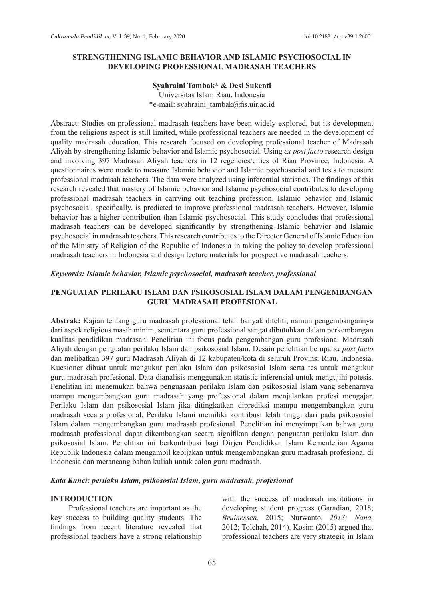### **STRENGTHENING ISLAMIC BEHAVIOR AND ISLAMIC PSYCHOSOCIAL IN DEVELOPING PROFESSIONAL MADRASAH TEACHERS**

### **Syahraini Tambak\* & Desi Sukenti**

Universitas Islam Riau, Indonesia \*e-mail: syahraini\_tambak@fis.uir.ac.id

Abstract: Studies on professional madrasah teachers have been widely explored, but its development from the religious aspect is still limited, while professional teachers are needed in the development of quality madrasah education. This research focused on developing professional teacher of Madrasah Aliyah by strengthening Islamic behavior and Islamic psychosocial. Using *ex post facto* research design and involving 397 Madrasah Aliyah teachers in 12 regencies/cities of Riau Province, Indonesia. A questionnaires were made to measure Islamic behavior and Islamic psychosocial and tests to measure professional madrasah teachers. The data were analyzed using inferential statistics. The findings of this research revealed that mastery of Islamic behavior and Islamic psychosocial contributes to developing professional madrasah teachers in carrying out teaching profession. Islamic behavior and Islamic psychosocial, specifically, is predicted to improve professional madrasah teachers. However, Islamic behavior has a higher contribution than Islamic psychosocial. This study concludes that professional madrasah teachers can be developed significantly by strengthening Islamic behavior and Islamic psychosocial in madrasah teachers. This research contributes to the Director General of Islamic Education of the Ministry of Religion of the Republic of Indonesia in taking the policy to develop professional madrasah teachers in Indonesia and design lecture materials for prospective madrasah teachers.

### *Keywords: Islamic behavior, Islamic psychosocial, madrasah teacher, professional*

## **PENGUATAN PERILAKU ISLAM DAN PSIKOSOSIAL ISLAM DALAM PENGEMBANGAN GURU MADRASAH PROFESIONAL**

**Abstrak:** Kajian tentang guru madrasah professional telah banyak diteliti, namun pengembangannya dari aspek religious masih minim, sementara guru professional sangat dibutuhkan dalam perkembangan kualitas pendidikan madrasah. Penelitian ini focus pada pengembangan guru profesional Madrasah Aliyah dengan penguatan perilaku Islam dan psikososial Islam. Desain penelitian berupa *ex post facto*  dan melibatkan 397 guru Madrasah Aliyah di 12 kabupaten/kota di seluruh Provinsi Riau, Indonesia. Kuesioner dibuat untuk mengukur perilaku Islam dan psikososial Islam serta tes untuk mengukur guru madrasah profesional. Data dianalisis menggunakan statistic inferensial untuk mengujihi potesis. Penelitian ini menemukan bahwa penguasaan perilaku Islam dan psikososial Islam yang sebenarnya mampu mengembangkan guru madrasah yang professional dalam menjalankan profesi mengajar. Perilaku Islam dan psikososial Islam jika ditingkatkan diprediksi mampu mengembangkan guru madrasah secara profesional. Perilaku Islami memiliki kontribusi lebih tinggi dari pada psikososial Islam dalam mengembangkan guru madrasah profesional. Penelitian ini menyimpulkan bahwa guru madrasah professional dapat dikembangkan secara signifikan dengan penguatan perilaku Islam dan psikososial Islam. Penelitian ini berkontribusi bagi Dirjen Pendidikan Islam Kementerian Agama Republik Indonesia dalam mengambil kebijakan untuk mengembangkan guru madrasah profesional di Indonesia dan merancang bahan kuliah untuk calon guru madrasah.

## *Kata Kunci: perilaku Islam, psikososial Islam, guru madrasah, profesional*

### **INTRODUCTION**

Professional teachers are important as the key success to building quality students. The findings from recent literature revealed that professional teachers have a strong relationship with the success of madrasah institutions in developing student progress (Garadian, 2018; *Bruinessen,* 2015; Nurwanto, *2013; Nana,*  2012; Tolchah, 2014). Kosim (2015) argued that professional teachers are very strategic in Islam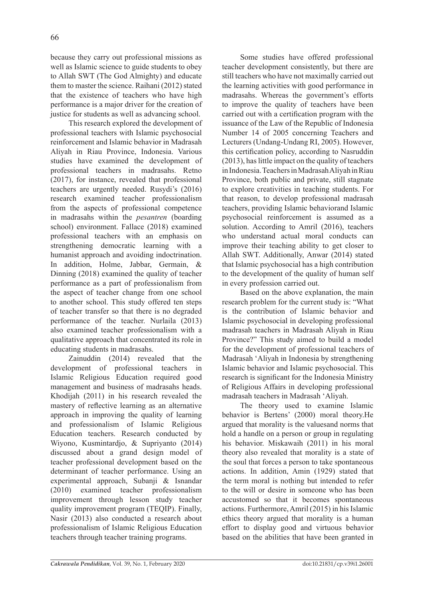because they carry out professional missions as well as Islamic science to guide students to obey to Allah SWT (The God Almighty) and educate them to master the science. Raihani (2012) stated that the existence of teachers who have high performance is a major driver for the creation of justice for students as well as advancing school.

This research explored the development of professional teachers with Islamic psychosocial reinforcement and Islamic behavior in Madrasah Aliyah in Riau Province, Indonesia. Various studies have examined the development of professional teachers in madrasahs. Retno (2017), for instance, revealed that professional teachers are urgently needed. Rusydi's (2016) research examined teacher professionalism from the aspects of professional competence in madrasahs within the *pesantren* (boarding school) environment. Fallace (2018) examined professional teachers with an emphasis on strengthening democratic learning with a humanist approach and avoiding indoctrination. In addition, Holme, Jabbar, Germain, & Dinning (2018) examined the quality of teacher performance as a part of professionalism from the aspect of teacher change from one school to another school. This study offered ten steps of teacher transfer so that there is no degraded performance of the teacher. Nurlaila (2013) also examined teacher professionalism with a qualitative approach that concentrated its role in educating students in madrasahs.

Zainuddin (2014) revealed that the development of professional teachers in Islamic Religious Education required good management and business of madrasahs heads. Khodijah (2011) in his research revealed the mastery of reflective learning as an alternative approach in improving the quality of learning and professionalism of Islamic Religious Education teachers. Research conducted by Wiyono, Kusmintardjo, & Supriyanto (2014) discussed about a grand design model of teacher professional development based on the determinant of teacher performance. Using an experimental approach, Subanji & Isnandar (2010) examined teacher professionalism improvement through lesson study teacher quality improvement program (TEQIP). Finally, Nasir (2013) also conducted a research about professionalism of Islamic Religious Education teachers through teacher training programs.

Some studies have offered professional teacher development consistently, but there are still teachers who have not maximally carried out the learning activities with good performance in madrasahs. Whereas the government's efforts to improve the quality of teachers have been carried out with a certification program with the issuance of the Law of the Republic of Indonesia Number 14 of 2005 concerning Teachers and Lecturers (Undang-Undang RI, 2005). However, this certification policy, according to Nasruddin (2013), has little impact on the quality of teachers in Indonesia. Teachers in Madrasah Aliyah in Riau Province, both public and private, still stagnate to explore creativities in teaching students. For that reason, to develop professional madrasah teachers, providing Islamic behaviorand Islamic psychosocial reinforcement is assumed as a solution. According to Amril (2016), teachers who understand actual moral conducts can improve their teaching ability to get closer to Allah SWT. Additionally, Anwar (2014) stated that Islamic psychosocial has a high contribution to the development of the quality of human self in every profession carried out.

Based on the above explanation, the main research problem for the current study is: "What is the contribution of Islamic behavior and Islamic psychosocial in developing professional madrasah teachers in Madrasah Aliyah in Riau Province?" This study aimed to build a model for the development of professional teachers of Madrasah 'Aliyah in Indonesia by strengthening Islamic behavior and Islamic psychosocial. This research is significant for the Indonesia Ministry of Religious Affairs in developing professional madrasah teachers in Madrasah 'Aliyah.

The theory used to examine Islamic behavior is Bertens' (2000) moral theory.He argued that morality is the valuesand norms that hold a handle on a person or group in regulating his behavior. Miskawaih (2011) in his moral theory also revealed that morality is a state of the soul that forces a person to take spontaneous actions. In addition, Amin (1929) stated that the term moral is nothing but intended to refer to the will or desire in someone who has been accustomed so that it becomes spontaneous actions. Furthermore, Amril (2015) in his Islamic ethics theory argued that morality is a human effort to display good and virtuous behavior based on the abilities that have been granted in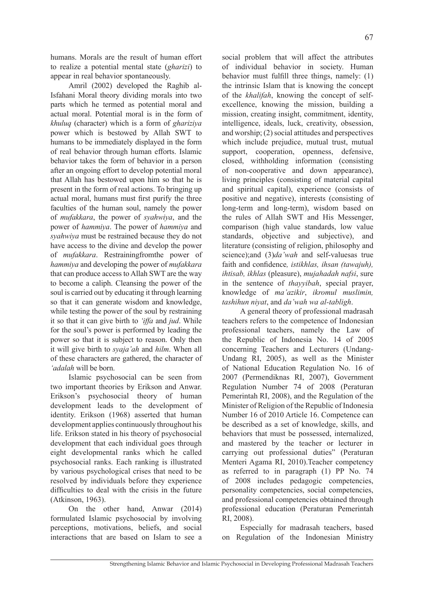humans. Morals are the result of human effort to realize a potential mental state (*gharizi*) to appear in real behavior spontaneously.

Amril (2002) developed the Raghib al-Isfahani Moral theory dividing morals into two parts which he termed as potential moral and actual moral. Potential moral is in the form of *khuluq* (character) which is a form of *ghariziya* power which is bestowed by Allah SWT to humans to be immediately displayed in the form of real behavior through human efforts. Islamic behavior takes the form of behavior in a person after an ongoing effort to develop potential moral that Allah has bestowed upon him so that he is present in the form of real actions. To bringing up actual moral, humans must first purify the three faculties of the human soul, namely the power of *mufakkara*, the power of *syahwiya*, and the power of *hammiya*. The power of *hammiya* and *syahwiya* must be restrained because they do not have access to the divine and develop the power of *mufakkara*. Restrainingfromthe power of *hammiya* and developing the power of *mufakkara* that can produce access to Allah SWT are the way to become a caliph. Cleansing the power of the soul is carried out by educating it through learning so that it can generate wisdom and knowledge, while testing the power of the soul by restraining it so that it can give birth to *'iffa* and *jud*. While for the soul's power is performed by leading the power so that it is subject to reason. Only then it will give birth to *syaja'ah* and *hilm*. When all of these characters are gathered, the character of *'adalah* will be born.

Islamic psychosocial can be seen from two important theories by Erikson and Anwar. Erikson's psychosocial theory of human development leads to the development of identity. Erikson (1968) asserted that human development applies continuously throughout his life. Erikson stated in his theory of psychosocial development that each individual goes through eight developmental ranks which he called psychosocial ranks. Each ranking is illustrated by various psychological crises that need to be resolved by individuals before they experience difficulties to deal with the crisis in the future (Atkinson, 1963).

On the other hand, Anwar (2014) formulated Islamic psychosocial by involving perceptions, motivations, beliefs, and social interactions that are based on Islam to see a social problem that will affect the attributes of individual behavior in society. Human behavior must fulfill three things, namely: (1) the intrinsic Islam that is knowing the concept of the *khalifah*, knowing the concept of selfexcellence, knowing the mission, building a mission, creating insight, commitment, identity, intelligence, ideals, luck, creativity, obsession, and worship; (2) social attitudes and perspectives which include prejudice, mutual trust, mutual support, cooperation, openness, defensive, closed, withholding information (consisting of non-cooperative and down appearance), living principles (consisting of material capital and spiritual capital), experience (consists of positive and negative), interests (consisting of long-term and long-term), wisdom based on the rules of Allah SWT and His Messenger, comparison (high value standards, low value standards, objective and subjective), and literature (consisting of religion, philosophy and science);and (3)*da'wah* and self-valuesas true faith and confidence*, istikhlas, ihsan (tawajuh), ihtisab, ikhlas* (pleasure), *mujahadah nafsi*, sure in the sentence of *thayyibah*, special prayer, knowledge of *ma'azikir*, *ikromul muslimin, tashihun niyat*, and *da'wah wa al-tabligh*.

A general theory of professional madrasah teachers refers to the competence of Indonesian professional teachers, namely the Law of the Republic of Indonesia No. 14 of 2005 concerning Teachers and Lecturers (Undang-Undang RI, 2005), as well as the Minister of National Education Regulation No. 16 of 2007 (Permendiknas RI, 2007), Government Regulation Number 74 of 2008 (Peraturan Pemerintah RI, 2008), and the Regulation of the Minister of Religion of the Republic of Indonesia Number 16 of 2010 Article 16. Competence can be described as a set of knowledge, skills, and behaviors that must be possessed, internalized, and mastered by the teacher or lecturer in carrying out professional duties" (Peraturan Menteri Agama RI, 2010).Teacher competency as referred to in paragraph (1) PP No. 74 of 2008 includes pedagogic competencies, personality competencies, social competencies, and professional competencies obtained through professional education (Peraturan Pemerintah RI, 2008).

Especially for madrasah teachers, based on Regulation of the Indonesian Ministry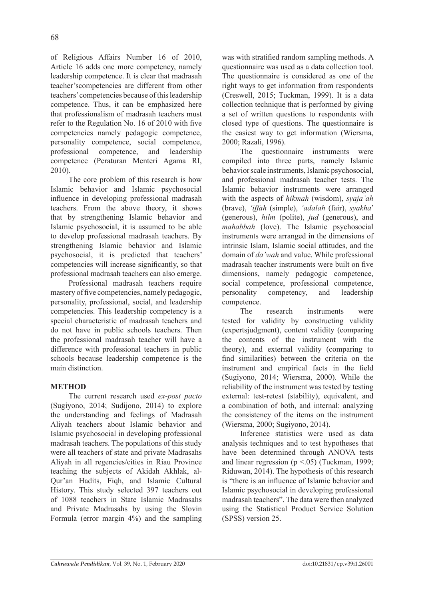of Religious Affairs Number 16 of 2010, Article 16 adds one more competency, namely leadership competence. It is clear that madrasah teacher'scompetencies are different from other teachers' competencies because of this leadership competence. Thus, it can be emphasized here that professionalism of madrasah teachers must refer to the Regulation No. 16 of 2010 with five competencies namely pedagogic competence, personality competence, social competence, professional competence, and leadership competence (Peraturan Menteri Agama RI, 2010).

The core problem of this research is how Islamic behavior and Islamic psychosocial influence in developing professional madrasah teachers. From the above theory, it shows that by strengthening Islamic behavior and Islamic psychosocial, it is assumed to be able to develop professional madrasah teachers. By strengthening Islamic behavior and Islamic psychosocial, it is predicted that teachers' competencies will increase significantly, so that professional madrasah teachers can also emerge.

Professional madrasah teachers require mastery of five competencies, namely pedagogic, personality, professional, social, and leadership competencies. This leadership competency is a special characteristic of madrasah teachers and do not have in public schools teachers. Then the professional madrasah teacher will have a difference with professional teachers in public schools because leadership competence is the main distinction.

# **METHOD**

The current research used *ex-post pacto* (Sugiyono, 2014; Sudijono, 2014) to explore the understanding and feelings of Madrasah Aliyah teachers about Islamic behavior and Islamic psychosocial in developing professional madrasah teachers. The populations of this study were all teachers of state and private Madrasahs Aliyah in all regencies/cities in Riau Province teaching the subjects of Akidah Akhlak, al-Qur'an Hadits, Fiqh, and Islamic Cultural History. This study selected 397 teachers out of 1088 teachers in State Islamic Madrasahs and Private Madrasahs by using the Slovin Formula (error margin 4%) and the sampling was with stratified random sampling methods. A questionnaire was used as a data collection tool. The questionnaire is considered as one of the right ways to get information from respondents (Creswell, 2015; Tuckman, 1999). It is a data collection technique that is performed by giving a set of written questions to respondents with closed type of questions. The questionnaire is the easiest way to get information (Wiersma, 2000; Razali, 1996).

The questionnaire instruments were compiled into three parts, namely Islamic behavior scale instruments, Islamic psychosocial, and professional madrasah teacher tests. The Islamic behavior instruments were arranged with the aspects of *hikmah* (wisdom), *syaja'ah* (brave), *'iffah* (simple), *'adalah* (fair), *syakha*' (generous), *hilm* (polite), *jud* (generous), and *mahabbah* (love). The Islamic psychosocial instruments were arranged in the dimensions of intrinsic Islam, Islamic social attitudes, and the domain of *da'wah* and value. While professional madrasah teacher instruments were built on five dimensions, namely pedagogic competence, social competence, professional competence, personality competency, and leadership competence.

The research instruments were tested for validity by constructing validity (expertsjudgment), content validity (comparing the contents of the instrument with the theory), and external validity (comparing to find similarities) between the criteria on the instrument and empirical facts in the field (Sugiyono, 2014; Wiersma, 2000). While the reliability of the instrument was tested by testing external: test-retest (stability), equivalent, and a combination of both, and internal: analyzing the consistency of the items on the instrument (Wiersma, 2000; Sugiyono, 2014).

Inference statistics were used as data analysis techniques and to test hypotheses that have been determined through ANOVA tests and linear regression ( $p \le 0.05$ ) (Tuckman, 1999; Riduwan, 2014). The hypothesis of this research is "there is an influence of Islamic behavior and Islamic psychosocial in developing professional madrasah teachers". The data were then analyzed using the Statistical Product Service Solution (SPSS) version 25.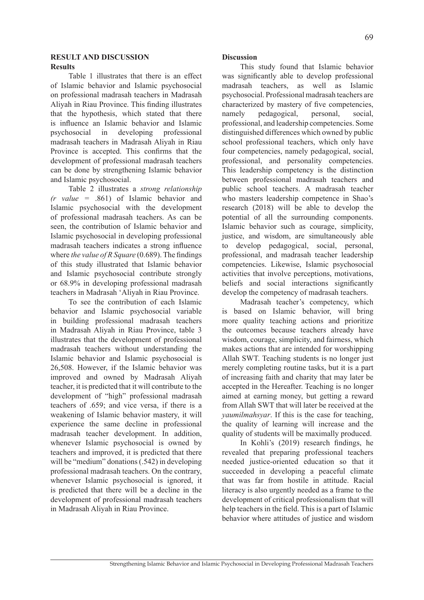### **RESULT AND DISCUSSION Results**

Table 1 illustrates that there is an effect of Islamic behavior and Islamic psychosocial on professional madrasah teachers in Madrasah Aliyah in Riau Province. This finding illustrates that the hypothesis, which stated that there is influence an Islamic behavior and Islamic psychosocial in developing professional madrasah teachers in Madrasah Aliyah in Riau Province is accepted. This confirms that the development of professional madrasah teachers can be done by strengthening Islamic behavior and Islamic psychosocial.

Table 2 illustrates a *strong relationship (r value =* .861) of Islamic behavior and Islamic psychosocial with the development of professional madrasah teachers. As can be seen, the contribution of Islamic behavior and Islamic psychosocial in developing professional madrasah teachers indicates a strong influence where *the value of R Square* (0.689). The findings of this study illustrated that Islamic behavior and Islamic psychosocial contribute strongly or 68.9% in developing professional madrasah teachers in Madrasah 'Aliyah in Riau Province.

To see the contribution of each Islamic behavior and Islamic psychosocial variable in building professional madrasah teachers in Madrasah Aliyah in Riau Province, table 3 illustrates that the development of professional madrasah teachers without understanding the Islamic behavior and Islamic psychosocial is 26,508. However, if the Islamic behavior was improved and owned by Madrasah Aliyah teacher, it is predicted that it will contribute to the development of "high" professional madrasah teachers of .659; and vice versa, if there is a weakening of Islamic behavior mastery, it will experience the same decline in professional madrasah teacher development. In addition, whenever Islamic psychosocial is owned by teachers and improved, it is predicted that there will be "medium" donations (.542) in developing professional madrasah teachers. On the contrary, whenever Islamic psychosocial is ignored, it is predicted that there will be a decline in the development of professional madrasah teachers in Madrasah Aliyah in Riau Province.

## **Discussion**

This study found that Islamic behavior was significantly able to develop professional madrasah teachers, as well as Islamic psychosocial. Professional madrasah teachers are characterized by mastery of five competencies, namely pedagogical, personal, social, professional, and leadership competencies. Some distinguished differences which owned by public school professional teachers, which only have four competencies, namely pedagogical, social, professional, and personality competencies. This leadership competency is the distinction between professional madrasah teachers and public school teachers. A madrasah teacher who masters leadership competence in Shao's research (2018) will be able to develop the potential of all the surrounding components. Islamic behavior such as courage, simplicity, justice, and wisdom, are simultaneously able to develop pedagogical, social, personal, professional, and madrasah teacher leadership competencies. Likewise, Islamic psychosocial activities that involve perceptions, motivations, beliefs and social interactions significantly develop the competency of madrasah teachers.

Madrasah teacher's competency, which is based on Islamic behavior, will bring more quality teaching actions and prioritize the outcomes because teachers already have wisdom, courage, simplicity, and fairness, which makes actions that are intended for worshipping Allah SWT. Teaching students is no longer just merely completing routine tasks, but it is a part of increasing faith and charity that may later be accepted in the Hereafter. Teaching is no longer aimed at earning money, but getting a reward from Allah SWT that will later be received at the *yaumilmahsyar*. If this is the case for teaching, the quality of learning will increase and the quality of students will be maximally produced.

In Kohli's (2019) research findings, he revealed that preparing professional teachers needed justice-oriented education so that it succeeded in developing a peaceful climate that was far from hostile in attitude. Racial literacy is also urgently needed as a frame to the development of critical professionalism that will help teachers in the field. This is a part of Islamic behavior where attitudes of justice and wisdom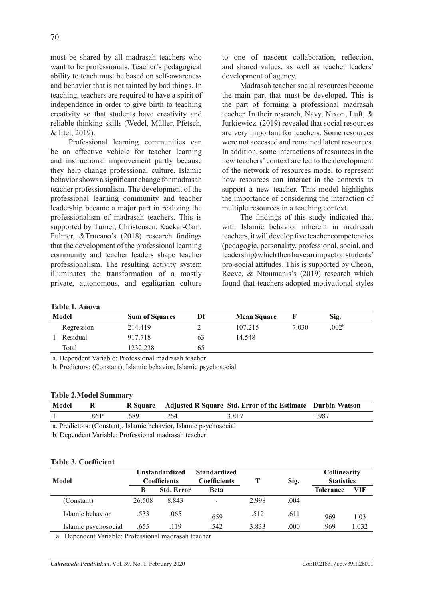must be shared by all madrasah teachers who want to be professionals. Teacher's pedagogical ability to teach must be based on self-awareness and behavior that is not tainted by bad things. In teaching, teachers are required to have a spirit of independence in order to give birth to teaching creativity so that students have creativity and reliable thinking skills (Wedel, Müller, Pfetsch, & Ittel, 2019).

Professional learning communities can be an effective vehicle for teacher learning and instructional improvement partly because they help change professional culture. Islamic behavior shows a significant change for madrasah teacher professionalism. The development of the professional learning community and teacher leadership became a major part in realizing the professionalism of madrasah teachers. This is supported by Turner, Christensen, Kackar-Cam, Fulmer, &Trucano's (2018) research findings that the development of the professional learning community and teacher leaders shape teacher professionalism. The resulting activity system illuminates the transformation of a mostly private, autonomous, and egalitarian culture to one of nascent collaboration, reflection, and shared values, as well as teacher leaders' development of agency.

Madrasah teacher social resources become the main part that must be developed. This is the part of forming a professional madrasah teacher. In their research, Navy, Nixon, Luft, & Jurkiewicz. (2019) revealed that social resources are very important for teachers. Some resources were not accessed and remained latent resources. In addition, some interactions of resources in the new teachers' context are led to the development of the network of resources model to represent how resources can interact in the contexts to support a new teacher. This model highlights the importance of considering the interaction of multiple resources in a teaching context.

The findings of this study indicated that with Islamic behavior inherent in madrasah teachers, it will develop five teacher competencies (pedagogic, personality, professional, social, and leadership) which then have an impact on students' pro-social attitudes. This is supported by Cheon, Reeve, & Ntoumanis's (2019) research which found that teachers adopted motivational styles

### **Table 1. Anova**

| Model |            | <b>Sum of Squares</b> | Df | <b>Mean Square</b> |       | Sig.              |  |
|-------|------------|-----------------------|----|--------------------|-------|-------------------|--|
|       | Regression | 214.419               |    | 107.215            | 7.030 | .002 <sup>b</sup> |  |
|       | Residual   | 917.718               | 63 | 14.548             |       |                   |  |
|       | Total      | 232.238               | რბ |                    |       |                   |  |

a. Dependent Variable: Professional madrasah teacher

b. Predictors: (Constant), Islamic behavior, Islamic psychosocial

#### **Table 2.Model Summary**

| Model |                   |     |     | R Square Adjusted R Square Std. Error of the Estimate Durbin-Watson |      |
|-------|-------------------|-----|-----|---------------------------------------------------------------------|------|
|       | .861 <sup>a</sup> | 689 | 264 | 3 817                                                               | .987 |

a. Predictors: (Constant), Islamic behavior, Islamic psychosocial

b. Dependent Variable: Professional madrasah teacher

#### **Table 3. Coefficient**

| Model                | <b>Unstandardized</b><br><b>Coefficients</b> |                   | <b>Standardized</b><br><b>Coefficients</b> |       | Sig. | Collinearity<br><b>Statistics</b> |       |
|----------------------|----------------------------------------------|-------------------|--------------------------------------------|-------|------|-----------------------------------|-------|
|                      | B                                            | <b>Std. Error</b> | <b>Beta</b>                                |       |      | <b>Tolerance</b>                  | VIF   |
| (Constant)           | 26.508                                       | 8.843             |                                            | 2.998 | .004 |                                   |       |
| Islamic behavior     | .533                                         | .065              | .659                                       | .512  | .611 | .969                              | 1.03  |
| Islamic psychosocial | .655                                         | .119              | .542                                       | 3.833 | .000 | .969                              | 1.032 |

a. Dependent Variable: Professional madrasah teacher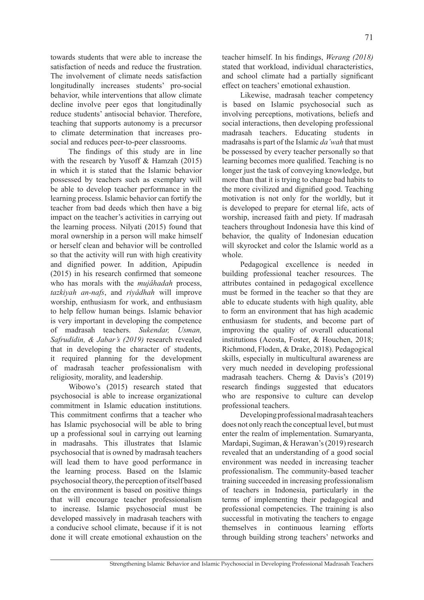towards students that were able to increase the satisfaction of needs and reduce the frustration. The involvement of climate needs satisfaction longitudinally increases students' pro-social behavior, while interventions that allow climate decline involve peer egos that longitudinally reduce students' antisocial behavior. Therefore, teaching that supports autonomy is a precursor to climate determination that increases prosocial and reduces peer-to-peer classrooms.

The findings of this study are in line with the research by Yusoff & Hamzah (2015) in which it is stated that the Islamic behavior possessed by teachers such as exemplary will be able to develop teacher performance in the learning process. Islamic behavior can fortify the teacher from bad deeds which then have a big impact on the teacher's activities in carrying out the learning process. Nilyati (2015) found that moral ownership in a person will make himself or herself clean and behavior will be controlled so that the activity will run with high creativity and dignified power. In addition, Apipudin (2015) in his research confirmed that someone who has morals with the *mujâhadah* process, *tazkiyah an-nafs*, and *riyâdhah* will improve worship, enthusiasm for work, and enthusiasm to help fellow human beings. Islamic behavior is very important in developing the competence of madrasah teachers. *Sukendar, Usman, Safrudidin, & Jabar's (2019)* research revealed that in developing the character of students, it required planning for the development of madrasah teacher professionalism with religiosity, morality, and leadership.

Wibowo's (2015) research stated that psychosocial is able to increase organizational commitment in Islamic education institutions. This commitment confirms that a teacher who has Islamic psychosocial will be able to bring up a professional soul in carrying out learning in madrasahs. This illustrates that Islamic psychosocial that is owned by madrasah teachers will lead them to have good performance in the learning process. Based on the Islamic psychosocial theory, the perception of itself based on the environment is based on positive things that will encourage teacher professionalism to increase. Islamic psychosocial must be developed massively in madrasah teachers with a conducive school climate, because if it is not done it will create emotional exhaustion on the teacher himself. In his findings, *Werang (2018)* stated that workload, individual characteristics, and school climate had a partially significant effect on teachers' emotional exhaustion.

Likewise, madrasah teacher competency is based on Islamic psychosocial such as involving perceptions, motivations, beliefs and social interactions, then developing professional madrasah teachers. Educating students in madrasahs is part of the Islamic *da'wah* that must be possessed by every teacher personally so that learning becomes more qualified. Teaching is no longer just the task of conveying knowledge, but more than that it is trying to change bad habits to the more civilized and dignified good. Teaching motivation is not only for the worldly, but it is developed to prepare for eternal life, acts of worship, increased faith and piety. If madrasah teachers throughout Indonesia have this kind of behavior, the quality of Indonesian education will skyrocket and color the Islamic world as a whole.

Pedagogical excellence is needed in building professional teacher resources. The attributes contained in pedagogical excellence must be formed in the teacher so that they are able to educate students with high quality, able to form an environment that has high academic enthusiasm for students, and become part of improving the quality of overall educational institutions (Acosta, Foster, & Houchen, 2018; Richmond, Floden, & Drake, 2018). Pedagogical skills, especially in multicultural awareness are very much needed in developing professional madrasah teachers. Cherng & Davis's (2019) research findings suggested that educators who are responsive to culture can develop professional teachers.

Developing professional madrasah teachers does not only reach the conceptual level, but must enter the realm of implementation. Sumaryanta, Mardapi, Sugiman, & Herawan's (2019) research revealed that an understanding of a good social environment was needed in increasing teacher professionalism. The community-based teacher training succeeded in increasing professionalism of teachers in Indonesia, particularly in the terms of implementing their pedagogical and professional competencies. The training is also successful in motivating the teachers to engage themselves in continuous learning efforts through building strong teachers' networks and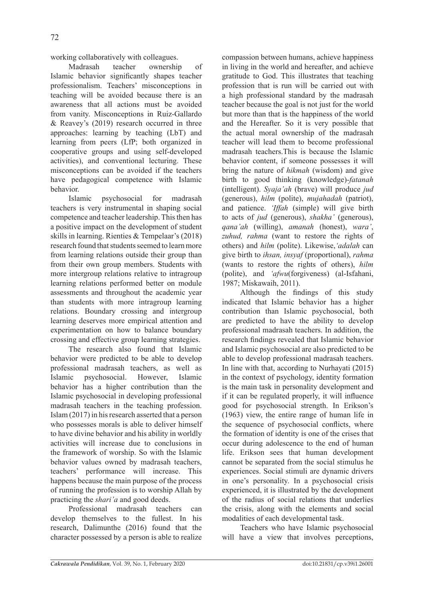working collaboratively with colleagues.

Madrasah teacher ownership of Islamic behavior significantly shapes teacher professionalism. Teachers' misconceptions in teaching will be avoided because there is an awareness that all actions must be avoided from vanity. Misconceptions in Ruiz-Gallardo & Reavey's (2019) research occurred in three approaches: learning by teaching (LbT) and learning from peers (LfP; both organized in cooperative groups and using self-developed activities), and conventional lecturing. These misconceptions can be avoided if the teachers have pedagogical competence with Islamic behavior.

Islamic psychosocial for madrasah teachers is very instrumental in shaping social competence and teacher leadership. This then has a positive impact on the development of student skills in learning. Rienties & Tempelaar's (2018) research found that students seemed to learn more from learning relations outside their group than from their own group members. Students with more intergroup relations relative to intragroup learning relations performed better on module assessments and throughout the academic year than students with more intragroup learning relations. Boundary crossing and intergroup learning deserves more empirical attention and experimentation on how to balance boundary crossing and effective group learning strategies.

The research also found that Islamic behavior were predicted to be able to develop professional madrasah teachers, as well as Islamic psychosocial. However, Islamic behavior has a higher contribution than the Islamic psychosocial in developing professional madrasah teachers in the teaching profession. Islam (2017) in his research asserted that a person who possesses morals is able to deliver himself to have divine behavior and his ability in worldly activities will increase due to conclusions in the framework of worship. So with the Islamic behavior values owned by madrasah teachers, teachers' performance will increase. This happens because the main purpose of the process of running the profession is to worship Allah by practicing the *shari'a* and good deeds.

Professional madrasah teachers can develop themselves to the fullest. In his research, Dalimunthe (2016) found that the character possessed by a person is able to realize compassion between humans, achieve happiness in living in the world and hereafter, and achieve gratitude to God. This illustrates that teaching profession that is run will be carried out with a high professional standard by the madrasah teacher because the goal is not just for the world but more than that is the happiness of the world and the Hereafter. So it is very possible that the actual moral ownership of the madrasah teacher will lead them to become professional madrasah teachers.This is because the Islamic behavior content, if someone possesses it will bring the nature of *hikmah* (wisdom) and give birth to good thinking (knowledge)-*fatanah* (intelligent). *Syaja'ah* (brave) will produce *jud* (generous), *hilm* (polite), *mujahadah* (patriot), and patience. *'Iffah* (simple) will give birth to acts of *jud* (generous), *shakha'* (generous), *qana'ah* (willing), *amanah* (honest), *wara'*, *zuhud, rahma* (want to restore the rights of others) and *hilm* (polite). Likewise,*'adalah* can give birth to *ihsan, insyaf* (proportional), *rahma* (wants to restore the rights of others), *hilm*  (polite), and *'afwu*(forgiveness) (al-Isfahani, 1987; Miskawaih, 2011).

Although the findings of this study indicated that Islamic behavior has a higher contribution than Islamic psychosocial, both are predicted to have the ability to develop professional madrasah teachers. In addition, the research findings revealed that Islamic behavior and Islamic psychosocial are also predicted to be able to develop professional madrasah teachers. In line with that, according to Nurhayati (2015) in the context of psychology, identity formation is the main task in personality development and if it can be regulated properly, it will influence good for psychosocial strength. In Erikson's (1963) view, the entire range of human life in the sequence of psychosocial conflicts, where the formation of identity is one of the crises that occur during adolescence to the end of human life. Erikson sees that human development cannot be separated from the social stimulus he experiences. Social stimuli are dynamic drivers in one's personality. In a psychosocial crisis experienced, it is illustrated by the development of the radius of social relations that underlies the crisis, along with the elements and social modalities of each developmental task.

Teachers who have Islamic psychosocial will have a view that involves perceptions,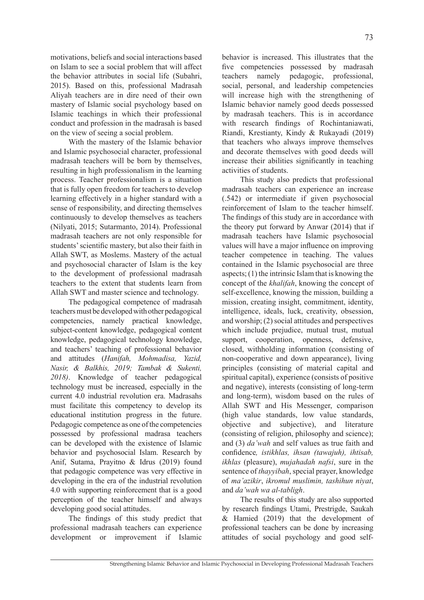motivations, beliefs and social interactions based on Islam to see a social problem that will affect the behavior attributes in social life (Subahri, 2015). Based on this, professional Madrasah Aliyah teachers are in dire need of their own mastery of Islamic social psychology based on Islamic teachings in which their professional conduct and profession in the madrasah is based on the view of seeing a social problem.

With the mastery of the Islamic behavior and Islamic psychosocial character, professional madrasah teachers will be born by themselves, resulting in high professionalism in the learning process. Teacher professionalism is a situation that is fully open freedom for teachers to develop learning effectively in a higher standard with a sense of responsibility, and directing themselves continuously to develop themselves as teachers (Nilyati, 2015; Sutarmanto, 2014). Professional madrasah teachers are not only responsible for students' scientific mastery, but also their faith in Allah SWT, as Moslems. Mastery of the actual and psychosocial character of Islam is the key to the development of professional madrasah teachers to the extent that students learn from Allah SWT and master science and technology.

The pedagogical competence of madrasah teachers must be developed with other pedagogical competencies, namely practical knowledge, subject-content knowledge, pedagogical content knowledge, pedagogical technology knowledge, and teachers' teaching of professional behavior and attitudes (*Hanifah, Mohmadisa, Yazid, Nasir, & Balkhis, 2019; Tambak & Sukenti, 2018)*. Knowledge of teacher pedagogical technology must be increased, especially in the current 4.0 industrial revolution era. Madrasahs must facilitate this competency to develop its educational institution progress in the future. Pedagogic competence as one of the competencies possessed by professional madrasa teachers can be developed with the existence of Islamic behavior and psychosocial Islam. Research by Anif, Sutama, Prayitno & Idrus (2019) found that pedagogic competence was very effective in developing in the era of the industrial revolution 4.0 with supporting reinforcement that is a good perception of the teacher himself and always developing good social attitudes.

The findings of this study predict that professional madrasah teachers can experience development or improvement if Islamic behavior is increased. This illustrates that the five competencies possessed by madrasah teachers namely pedagogic, professional, social, personal, and leadership competencies will increase high with the strengthening of Islamic behavior namely good deeds possessed by madrasah teachers. This is in accordance with research findings of Rochintaniawati, Riandi, Krestianty, Kindy & Rukayadi (2019) that teachers who always improve themselves and decorate themselves with good deeds will increase their abilities significantly in teaching activities of students.

This study also predicts that professional madrasah teachers can experience an increase (.542) or intermediate if given psychosocial reinforcement of Islam to the teacher himself. The findings of this study are in accordance with the theory put forward by Anwar (2014) that if madrasah teachers have Islamic psychosocial values will have a major influence on improving teacher competence in teaching. The values contained in the Islamic psychosocial are three aspects; (1) the intrinsic Islam that is knowing the concept of the *khalifah*, knowing the concept of self-excellence, knowing the mission, building a mission, creating insight, commitment, identity, intelligence, ideals, luck, creativity, obsession, and worship; (2) social attitudes and perspectives which include prejudice, mutual trust, mutual support, cooperation, openness, defensive, closed, withholding information (consisting of non-cooperative and down appearance), living principles (consisting of material capital and spiritual capital), experience (consists of positive and negative), interests (consisting of long-term and long-term), wisdom based on the rules of Allah SWT and His Messenger, comparison (high value standards, low value standards, objective and subjective), and literature (consisting of religion, philosophy and science); and (3) *da'wah* and self values as true faith and confidence*, istikhlas, ihsan (tawajuh), ihtisab, ikhlas* (pleasure), *mujahadah nafsi*, sure in the sentence of *thayyibah*, special prayer, knowledge of *ma'azikir*, *ikromul muslimin, tashihun niyat*, and *da'wah wa al-tabligh*.

The results of this study are also supported by research findings Utami, Prestrigde, Saukah & Hamied (2019) that the development of professional teachers can be done by increasing attitudes of social psychology and good self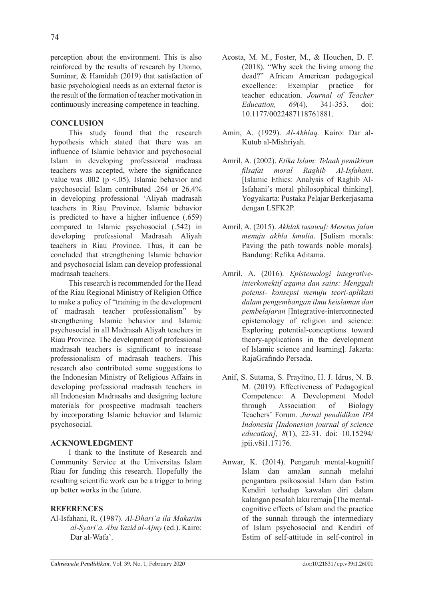perception about the environment. This is also reinforced by the results of research by Utomo, Suminar, & Hamidah (2019) that satisfaction of basic psychological needs as an external factor is the result of the formation of teacher motivation in continuously increasing competence in teaching.

## **CONCLUSION**

This study found that the research hypothesis which stated that there was an influence of Islamic behavior and psychosocial Islam in developing professional madrasa teachers was accepted, where the significance value was .002 ( $p \le 0.05$ ). Islamic behavior and psychosocial Islam contributed .264 or 26.4% in developing professional 'Aliyah madrasah teachers in Riau Province. Islamic behavior is predicted to have a higher influence (.659) compared to Islamic psychosocial (.542) in developing professional Madrasah Aliyah teachers in Riau Province. Thus, it can be concluded that strengthening Islamic behavior and psychosocial Islam can develop professional madrasah teachers.

This research is recommended for the Head of the Riau Regional Ministry of Religion Office to make a policy of "training in the development of madrasah teacher professionalism" by strengthening Islamic behavior and Islamic psychosocial in all Madrasah Aliyah teachers in Riau Province. The development of professional madrasah teachers is significant to increase professionalism of madrasah teachers. This research also contributed some suggestions to the Indonesian Ministry of Religious Affairs in developing professional madrasah teachers in all Indonesian Madrasahs and designing lecture materials for prospective madrasah teachers by incorporating Islamic behavior and Islamic psychosocial.

## **ACKNOWLEDGMENT**

I thank to the Institute of Research and Community Service at the Universitas Islam Riau for funding this research. Hopefully the resulting scientific work can be a trigger to bring up better works in the future.

# **REFERENCES**

Al-Isfahani, R. (1987). *Al-Dhari'a ila Makarim al-Syari'a. Abu Yazid al-Ajmy* (ed.). Kairo: Dar al-Wafa'.

- Acosta, M. M., Foster, M., & Houchen, D. F. (2018). "Why seek the living among the dead?" African American pedagogical excellence: Exemplar practice for teacher education. *Journal of Teacher Education, 69*(4), 341-353. doi: 10.1177/0022487118761881.
- Amin, A. (1929). *Al-Akhlaq.* Kairo: Dar al-Kutub al-Mishriyah.
- Amril, A. (2002). *Etika Islam: Telaah pemikiran filsafat moral Raghib Al-Isfahani*. [Islamic Ethics: Analysis of Raghib Al-Isfahani's moral philosophical thinking]. Yogyakarta: Pustaka Pelajar Berkerjasama dengan LSFK2P.
- Amril, A. (2015). *Akhlak tasawuf: Meretas jalan menuju akhla kmulia*. [Sufism morals: Paving the path towards noble morals]*.*  Bandung: Refika Aditama.
- Amril, A. (2016). *Epistemologi integrativeinterkonektif agama dan sains: Menggali potensi- konsepsi menuju teori-aplikasi dalam pengembangan ilmu keislaman dan pembelajaran* [Integrative-interconnected epistemology of religion and science: Exploring potential-conceptions toward theory-applications in the development of Islamic science and learning]*.* Jakarta: RajaGrafindo Persada.
- Anif, S. Sutama, S. Prayitno, H. J. Idrus, N. B. M. (2019). Effectiveness of Pedagogical Competence: A Development Model through Association of Biology Teachers' Forum. *Jurnal pendidikan IPA Indonesia [Indonesian journal of science education], 8*(1), 22-31. doi: 10.15294/ jpii.v8i1.17176.
- Anwar, K. (2014). Pengaruh mental-kognitif Islam dan amalan sunnah melalui pengantara psikososial Islam dan Estim Kendiri terhadap kawalan diri dalam kalangan pesalah laku remaja [The mentalcognitive effects of Islam and the practice of the sunnah through the intermediary of Islam psychosocial and Kendiri of Estim of self-attitude in self-control in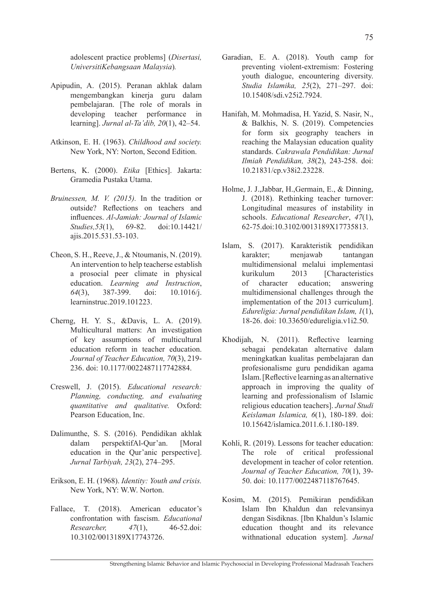adolescent practice problems] (*Disertasi, UniversitiKebangsaan Malaysia*)*.*

- Apipudin, A. (2015). Peranan akhlak dalam mengembangkan kinerja guru dalam pembelajaran. [The role of morals in developing teacher performance in learning]. *Jurnal al-Ta'dib, 20*(1), 42–54.
- Atkinson, E. H. (1963). *Childhood and society.*  New York, NY: Norton, Second Edition.
- Bertens, K. (2000). *Etika* [Ethics]. Jakarta: Gramedia Pustaka Utama.
- *Bruinessen, M. V. (2015).* In the tradition or outside? Reflections on teachers and influences. *Al-Jamiah: Journal of Islamic Studies,53*(1), 69-82. doi:10.14421/ ajis.2015.531.53-103.
- Cheon, S. H., Reeve, J., & Ntoumanis, N. (2019). An intervention to help teacherse establish a prosocial peer climate in physical education. *Learning and Instruction*, *64*(3), 387-399. doi: 10.1016/j. learninstruc.2019.101223.
- Cherng, H. Y. S., &Davis, L. A. (2019). Multicultural matters: An investigation of key assumptions of multicultural education reform in teacher education. *Journal of Teacher Education, 70*(3), 219- 236. doi: 10.1177/0022487117742884.
- Creswell, J. (2015). *Educational research: Planning, conducting, and evaluating quantitative and qualitative.* Oxford: Pearson Education, Inc.
- Dalimunthe, S. S. (2016). Pendidikan akhlak dalam perspektifAl-Qur'an. [Moral education in the Qur'anic perspective]. *Jurnal Tarbiyah, 23*(2), 274–295.
- Erikson, E. H. (1968). *Identity: Youth and crisis.*  New York, NY: W.W. Norton.
- Fallace, T. (2018). American educator's confrontation with fascism. *Educational Researcher, 47*(1), 46-52.doi: 10.3102/0013189X17743726.
- Garadian, E. A. (2018). Youth camp for preventing violent-extremism: Fostering youth dialogue, encountering diversity. *Studia Islamika, 25*(2), 271–297. doi: 10.15408/sdi.v25i2.7924.
- Hanifah, M. Mohmadisa, H. Yazid, S. Nasir, N., & Balkhis, N. S. (2019). Competencies for form six geography teachers in reaching the Malaysian education quality standards. *Cakrawala Pendidikan: Jurnal Ilmiah Pendidikan, 38*(2), 243-258. doi: 10.21831/cp.v38i2.23228.
- Holme, J. J.,Jabbar, H.,Germain, E., & Dinning, J. (2018). Rethinking teacher turnover: Longitudinal measures of instability in schools. *Educational Researcher*, *47*(1), 62-75.doi:10.3102/0013189X17735813.
- Islam, S. (2017). Karakteristik pendidikan karakter; menjawab tantangan multidimensional melalui implementasi kurikulum 2013 [Characteristics of character education; answering multidimensional challenges through the implementation of the 2013 curriculum]. *Edureligia: Jurnal pendidikan Islam, 1*(1), 18-26. doi: 10.33650/edureligia.v1i2.50.
- Khodijah, N. (2011). Reflective learning sebagai pendekatan alternative dalam meningkatkan kualitas pembelajaran dan profesionalisme guru pendidikan agama Islam. [Reflective learning as an alternative approach in improving the quality of learning and professionalism of Islamic religious education teachers]. *Jurnal Studi Keislaman Islamica, 6*(1), 180-189. doi: 10.15642/islamica.2011.6.1.180-189.
- Kohli, R. (2019). Lessons for teacher education: The role of critical professional development in teacher of color retention. *Journal of Teacher Education, 70*(1), 39- 50. doi: 10.1177/0022487118767645.
- Kosim, M. (2015). Pemikiran pendidikan Islam Ibn Khaldun dan relevansinya dengan Sisdiknas. [Ibn Khaldun's Islamic education thought and its relevance withnational education system]. *Jurnal*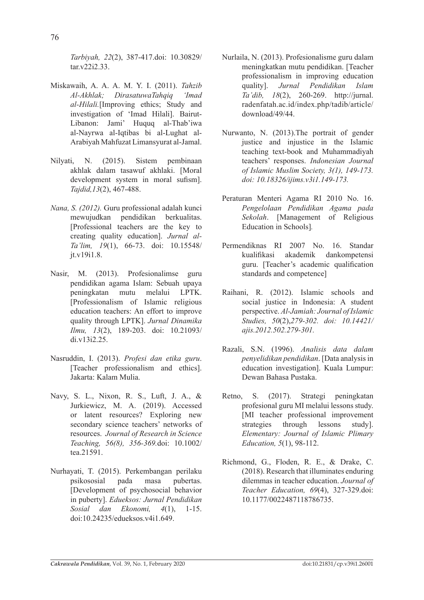*Tarbiyah, 22*(2), 387-417.doi: 10.30829/ tar.v22i2.33.

- Miskawaih, A. A. A. M. Y. I. (2011). *Tahzib Al-Akhlak; DirasatuwaTahqiq 'Imad al-Hilali.*[Improving ethics; Study and investigation of 'Imad Hilali]. Bairut-Libanon: Jami' Huquq al-Thab'iwa al-Nayrwa al-Iqtibas bi al-Lughat al-Arabiyah Mahfuzat Limansyurat al-Jamal.
- Nilyati, N. (2015). Sistem pembinaan akhlak dalam tasawuf akhlaki. [Moral development system in moral sufism]. *Tajdid,13*(2), 467-488.
- *Nana, S. (2012).* Guru professional adalah kunci mewujudkan pendidikan berkualitas. [Professional teachers are the key to creating quality education]. *Jurnal al-Ta'lim, 19*(1), 66-73. doi: 10.15548/ jt.v19i1.8.
- Nasir, M. (2013). Profesionalimse guru pendidikan agama Islam: Sebuah upaya peningkatan mutu melalui LPTK. [Professionalism of Islamic religious education teachers: An effort to improve quality through LPTK]. *Jurnal Dinamika Ilmu, 13*(2), 189-203. doi: 10.21093/ di.v13i2.25.
- Nasruddin, I. (2013). *Profesi dan etika guru*. [Teacher professionalism and ethics]. Jakarta: Kalam Mulia.
- Navy, S. L., Nixon, R. S., Luft, J. A., & Jurkiewicz, M. A. (2019). Accessed or latent resources? Exploring new secondary science teachers' networks of resources. *Journal of Research in Science Teaching, 56(8), 356-369.*doi: 10.1002/ tea.21591.
- Nurhayati, T. (2015). Perkembangan perilaku psikososial pada masa pubertas. [Development of psychosocial behavior in puberty]. *Edueksos: Jurnal Pendidikan Sosial dan Ekonomi, 4*(1), 1-15. doi:10.24235/edueksos.v4i1.649.
- Nurlaila, N. (2013). Profesionalisme guru dalam meningkatkan mutu pendidikan. [Teacher professionalism in improving education quality]. *Jurnal Pendidikan Islam Ta'dib, 18*(2), 260-269. http://jurnal. radenfatah.ac.id/index.php/tadib/article/ download/49/44.
- Nurwanto, N. (2013).The portrait of gender justice and injustice in the Islamic teaching text-book and Muhammadiyah teachers' responses. *Indonesian Journal of Islamic Muslim Society, 3(1), 149-173. doi: 10.18326/ijims.v3i1.149-173.*
- Peraturan Menteri Agama RI 2010 No. 16. *Pengelolaan Pendidikan Agama pada Sekolah*. [Management of Religious Education in Schools]*.*
- Permendiknas RI 2007 No. 16. Standar kualifikasi akademik dankompetensi guru. [Teacher's academic qualification standards and competence]
- Raihani, R. (2012). Islamic schools and social justice in Indonesia: A student perspective. *Al-Jamiah: Journal of Islamic Studies, 50*(2),*279-302. doi: 10.14421/ ajis.2012.502.279-301.*
- Razali, S.N. (1996). *Analisis data dalam penyelidikan pendidikan*. [Data analysis in education investigation]. Kuala Lumpur: Dewan Bahasa Pustaka.
- Retno, S. (2017). Strategi peningkatan profesional guru MI melalui lessons study. [MI teacher professional improvement strategies through lessons study]. *Elementary: Journal of Islamic Plimary Education, 5*(1), 98-112.
- Richmond, G., Floden, R. E., & Drake, C. (2018). Research that illuminates enduring dilemmas in teacher education. *Journal of Teacher Education, 69*(4), 327-329.doi: 10.1177/0022487118786735.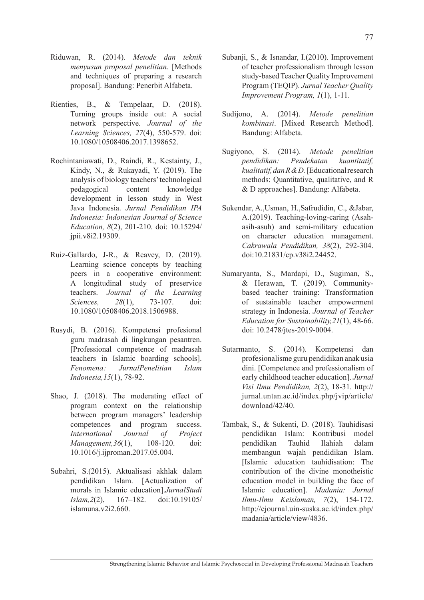- Riduwan, R. (2014). *Metode dan teknik menyusun proposal penelitian.* [Methods and techniques of preparing a research proposal]. Bandung: Penerbit Alfabeta.
- Rienties, B., & Tempelaar, D. (2018). Turning groups inside out: A social network perspective. *Journal of the Learning Sciences, 27*(4), 550-579. doi: 10.1080/10508406.2017.1398652.
- Rochintaniawati, D., Raindi, R., Kestainty, J., Kindy, N., & Rukayadi, Y. (2019). The analysis of biology teachers' technological pedagogical content knowledge development in lesson study in West Java Indonesia. *Jurnal Pendidikan IPA Indonesia: Indonesian Journal of Science Education, 8*(2), 201-210. doi: 10.15294/ jpii.v8i2.19309.
- Ruiz-Gallardo, J-R., & Reavey, D. (2019). Learning science concepts by teaching peers in a cooperative environment: A longitudinal study of preservice teachers. *Journal of the Learning Sciences, 28*(1), 73-107. doi: 10.1080/10508406.2018.1506988.
- Rusydi, B. (2016). Kompetensi profesional guru madrasah di lingkungan pesantren. [Professional competence of madrasah teachers in Islamic boarding schools]. *Fenomena: JurnalPenelitian Islam Indonesia,15*(1), 78-92.
- Shao, J. (2018). The moderating effect of program context on the relationship between program managers' leadership competences and program success. *International Journal of Project Management,36*(1), 108-120. doi: 10.1016/j.ijproman.2017.05.004.
- Subahri, S.(2015). Aktualisasi akhlak dalam pendidikan Islam. [Actualization of morals in Islamic education].*JurnalStudi Islam,2*(2), 167–182. doi:10.19105/ islamuna $v2i2.660$ .
- Subanji, S., & Isnandar, I.(2010). Improvement of teacher professionalism through lesson study-based Teacher Quality Improvement Program (TEQIP). *Jurnal Teacher Quality Improvement Program, 1*(1), 1-11.
- Sudijono, A. (2014). *Metode penelitian kombinasi*. [Mixed Research Method]. Bandung: Alfabeta.
- Sugiyono, S. (2014). *Metode penelitian pendidikan: Pendekatan kuantitatif, kualitatif, dan R & D.* [Educational research methods: Quantitative, qualitative, and R & D approaches]. Bandung: Alfabeta.
- Sukendar, A.,Usman, H.,Safrudidin, C., &Jabar, A.(2019). Teaching-loving-caring (Asahasih-asuh) and semi-military education on character education management. *Cakrawala Pendidikan, 38*(2), 292-304. doi:10.21831/cp.v38i2.24452.
- Sumaryanta, S., Mardapi, D., Sugiman, S., & Herawan, T. (2019). Communitybased teacher training: Transformation of sustainable teacher empowerment strategy in Indonesia. *Journal of Teacher Education for Sustainability,21*(1), 48-66. doi: 10.2478/jtes-2019-0004.
- Sutarmanto, S. (2014). Kompetensi dan profesionalisme guru pendidikan anak usia dini. [Competence and professionalism of early childhood teacher education]. *Jurnal Visi Ilmu Pendidikan, 2*(2), 18-31. http:// jurnal.untan.ac.id/index.php/jvip/article/ download/42/40.
- Tambak, S., & Sukenti, D. (2018). Tauhidisasi pendidikan Islam: Kontribusi model pendidikan Tauhid Ilahiah dalam membangun wajah pendidikan Islam. [Islamic education tauhidisation: The contribution of the divine monotheistic education model in building the face of Islamic education]. *Madania: Jurnal Ilmu-Ilmu Keislaman, 7*(2), 154-172. http://ejournal.uin-suska.ac.id/index.php/ madania/article/view/4836.